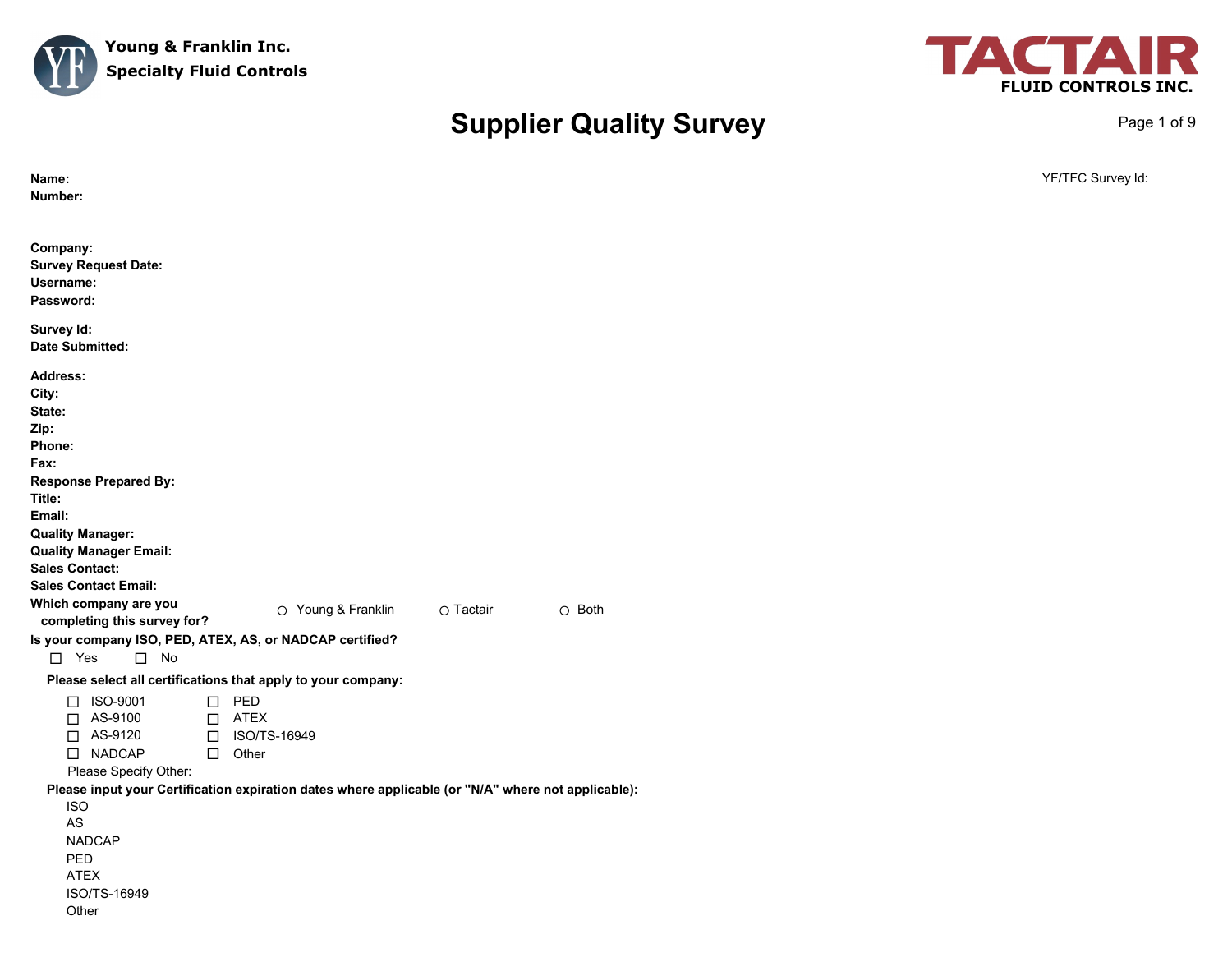



Page 1 of 9

# **Supplier Quality Survey**

| Name:<br>Number:                                                                                                                                                                                                                                                                                                                                                                                                                          | YF/TFC Survey Id: |
|-------------------------------------------------------------------------------------------------------------------------------------------------------------------------------------------------------------------------------------------------------------------------------------------------------------------------------------------------------------------------------------------------------------------------------------------|-------------------|
| Company:<br><b>Survey Request Date:</b><br>Username:<br>Password:                                                                                                                                                                                                                                                                                                                                                                         |                   |
| Survey Id:<br><b>Date Submitted:</b>                                                                                                                                                                                                                                                                                                                                                                                                      |                   |
| <b>Address:</b><br>City:<br>State:<br>Zip:<br>Phone:<br>Fax:<br><b>Response Prepared By:</b><br>Title:<br>Email:<br><b>Quality Manager:</b><br><b>Quality Manager Email:</b><br><b>Sales Contact:</b><br><b>Sales Contact Email:</b><br>Which company are you<br>O Young & Franklin<br>O Tactair<br>$\circ$ Both<br>completing this survey for?<br>Is your company ISO, PED, ATEX, AS, or NADCAP certified?<br>$\Box$ Yes<br>$\square$ No |                   |
| Please select all certifications that apply to your company:                                                                                                                                                                                                                                                                                                                                                                              |                   |
| $\square$ PED<br>□ ISO-9001<br>AS-9100<br>$\Box$ ATEX<br>$\Box$<br>$\Box$ AS-9120<br>□ ISO/TS-16949<br>□ NADCAP<br>$\Box$ Other<br>Please Specify Other:                                                                                                                                                                                                                                                                                  |                   |
| Please input your Certification expiration dates where applicable (or "N/A" where not applicable):<br><b>ISO</b><br>AS<br><b>NADCAP</b><br>PED<br><b>ATEX</b><br>ISO/TS-16949<br>Other                                                                                                                                                                                                                                                    |                   |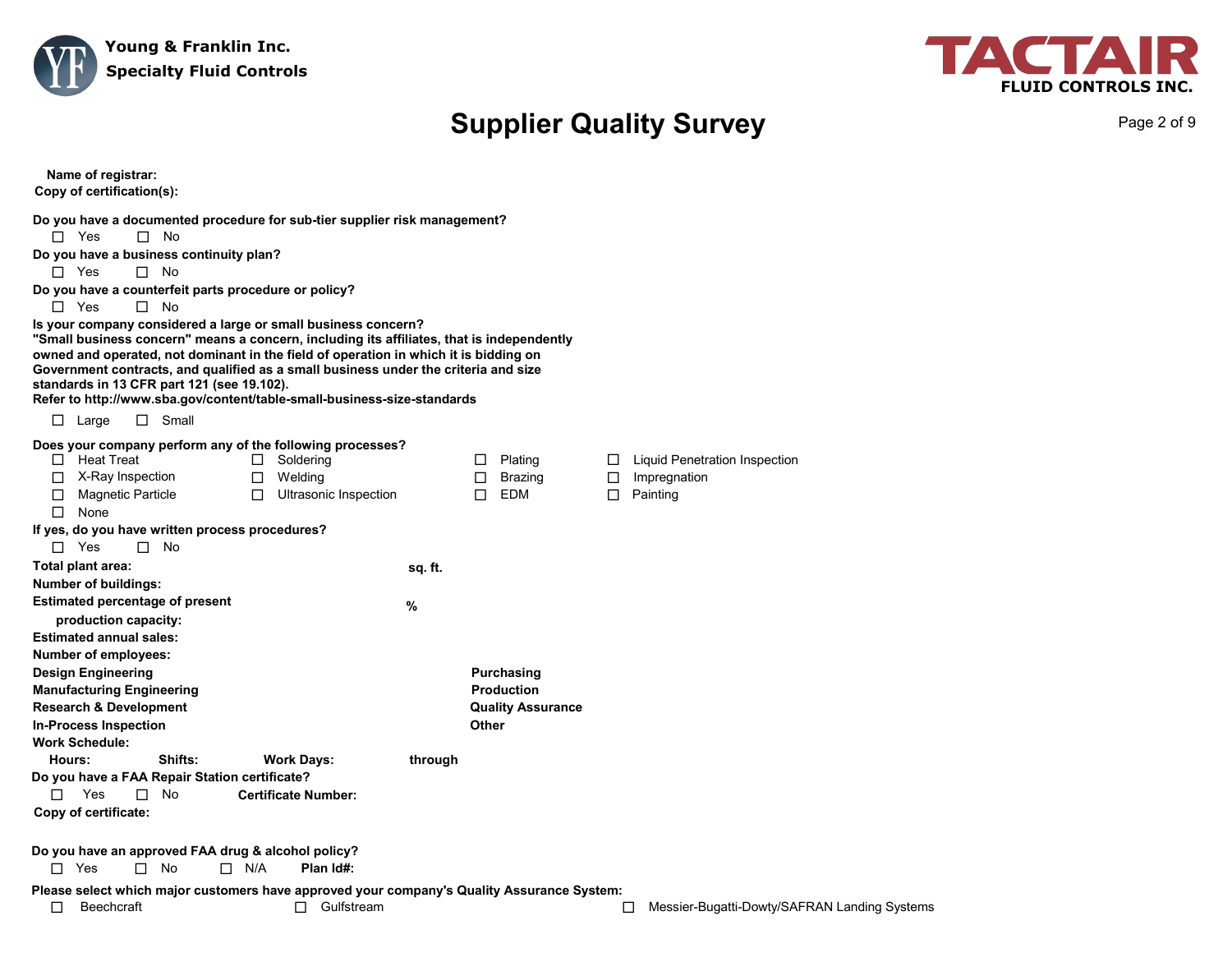



Page 2 of 9

| Name of registrar:<br>Copy of certification(s):                                                                                                                                                                                                                                                                                                                                                                                                                                                                                                                                                                                                                                                                                                                        |              |                                                                      |                            |                                                           |
|------------------------------------------------------------------------------------------------------------------------------------------------------------------------------------------------------------------------------------------------------------------------------------------------------------------------------------------------------------------------------------------------------------------------------------------------------------------------------------------------------------------------------------------------------------------------------------------------------------------------------------------------------------------------------------------------------------------------------------------------------------------------|--------------|----------------------------------------------------------------------|----------------------------|-----------------------------------------------------------|
| Do you have a documented procedure for sub-tier supplier risk management?<br>$\Box$ Yes<br>$\square$ No<br>Do you have a business continuity plan?<br>$\Box$ Yes<br>$\Box$ No<br>Do you have a counterfeit parts procedure or policy?<br>$\Box$ Yes<br>$\Box$ No<br>Is your company considered a large or small business concern?<br>"Small business concern" means a concern, including its affiliates, that is independently<br>owned and operated, not dominant in the field of operation in which it is bidding on<br>Government contracts, and qualified as a small business under the criteria and size<br>standards in 13 CFR part 121 (see 19.102).<br>Refer to http://www.sba.gov/content/table-small-business-size-standards<br>$\Box$ Small<br>$\Box$ Large |              |                                                                      |                            |                                                           |
| Does your company perform any of the following processes?<br>$\Box$ Heat Treat<br>Soldering<br>$\Box$<br>$\Box$ X-Ray Inspection<br>Welding<br>$\Box$<br>Ultrasonic Inspection<br><b>Magnetic Particle</b><br>□<br>$\Box$<br>None<br>П.<br>If yes, do you have written process procedures?<br>$\Box$ Yes<br>$\square$ No                                                                                                                                                                                                                                                                                                                                                                                                                                               |              | Plating<br>□<br>Brazing<br>0<br>EDM<br>П.                            | $\Box$<br>$\Box$<br>$\Box$ | Liquid Penetration Inspection<br>Impregnation<br>Painting |
| Total plant area:<br>Number of buildings:<br><b>Estimated percentage of present</b><br>production capacity:                                                                                                                                                                                                                                                                                                                                                                                                                                                                                                                                                                                                                                                            | sq. ft.<br>% |                                                                      |                            |                                                           |
| <b>Estimated annual sales:</b><br>Number of employees:<br><b>Design Engineering</b><br><b>Manufacturing Engineering</b><br><b>Research &amp; Development</b><br><b>In-Process Inspection</b><br><b>Work Schedule:</b>                                                                                                                                                                                                                                                                                                                                                                                                                                                                                                                                                  |              | Purchasing<br><b>Production</b><br><b>Quality Assurance</b><br>Other |                            |                                                           |
| Shifts:<br>Hours:<br><b>Work Days:</b><br>Do you have a FAA Repair Station certificate?<br>Yes<br><b>No</b><br><b>Certificate Number:</b><br>П.<br>$\Box$<br>Copy of certificate:                                                                                                                                                                                                                                                                                                                                                                                                                                                                                                                                                                                      | through      |                                                                      |                            |                                                           |
| Do you have an approved FAA drug & alcohol policy?<br>$\Box$ Yes<br>$\Box$ N/A<br>Plan Id#:<br>П.<br>No                                                                                                                                                                                                                                                                                                                                                                                                                                                                                                                                                                                                                                                                |              |                                                                      |                            |                                                           |
| Please select which major customers have approved your company's Quality Assurance System:<br>$\Box$ Gulfstream<br>□<br><b>Beechcraft</b>                                                                                                                                                                                                                                                                                                                                                                                                                                                                                                                                                                                                                              |              |                                                                      |                            | Messier-Bugatti-Dowty/SAFRAN Landing Systems<br>□         |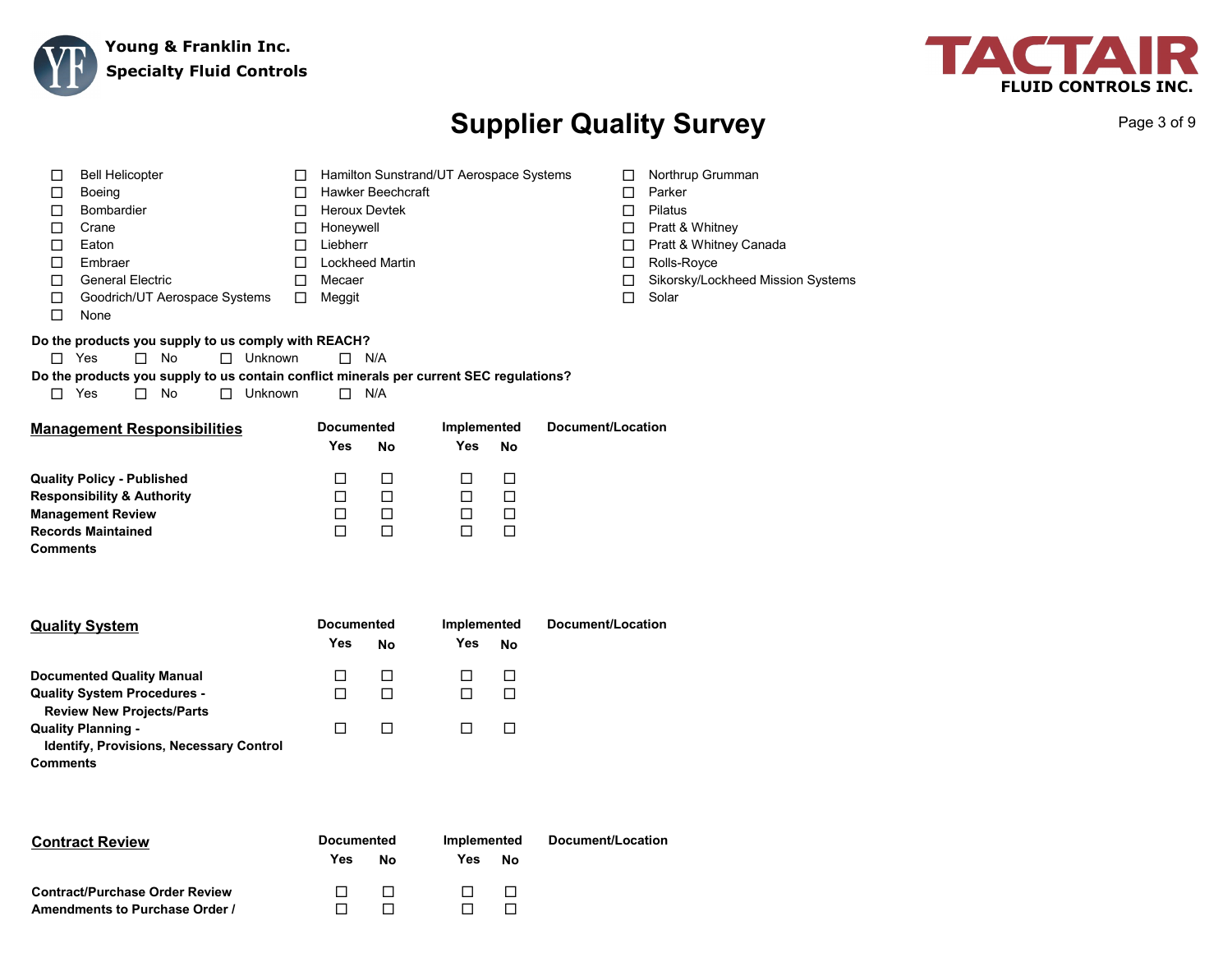



Page 3 of 9

| <b>Bell Helicopter</b><br>□<br>П<br>Boeing<br>□<br>П<br><b>Bombardier</b><br>□<br>$\Box$<br>□<br>Crane<br>□<br>□<br>Eaton<br>П<br>Embraer<br>□<br><b>General Electric</b><br>□<br>$\Box$<br>Goodrich/UT Aerospace Systems<br>□<br>$\Box$<br>$\Box$<br>None<br>Do the products you supply to us comply with REACH?<br>$\Box$ Yes<br>$\Box$ No<br>$\Box$<br>Unknown<br>Do the products you supply to us contain conflict minerals per current SEC regulations?<br>No<br>Unknown<br>$\Box$<br>Yes<br>$\Box$<br>$\Box$ | <b>Hawker Beechcraft</b><br><b>Heroux Devtek</b><br>Honeywell<br>Liebherr<br><b>Lockheed Martin</b><br>Mecaer<br>Meggit<br>$\Box$ N/A<br>$\Box$<br>N/A | Hamilton Sunstrand/UT Aerospace Systems                                      |                                      | П<br>$\Box$<br>$\Box$<br>$\Box$<br>□<br>$\Box$<br>$\Box$<br>$\Box$ | Northrup Grumman<br>Parker<br>Pilatus<br>Pratt & Whitney<br>Pratt & Whitney Canada<br>Rolls-Royce<br>Sikorsky/Lockheed Mission Systems<br>Solar |
|--------------------------------------------------------------------------------------------------------------------------------------------------------------------------------------------------------------------------------------------------------------------------------------------------------------------------------------------------------------------------------------------------------------------------------------------------------------------------------------------------------------------|--------------------------------------------------------------------------------------------------------------------------------------------------------|------------------------------------------------------------------------------|--------------------------------------|--------------------------------------------------------------------|-------------------------------------------------------------------------------------------------------------------------------------------------|
| <b>Management Responsibilities</b>                                                                                                                                                                                                                                                                                                                                                                                                                                                                                 | <b>Documented</b><br>Yes                                                                                                                               | Implemented<br>Yes<br><b>No</b>                                              | No                                   | Document/Location                                                  |                                                                                                                                                 |
| <b>Quality Policy - Published</b><br><b>Responsibility &amp; Authority</b><br><b>Management Review</b><br><b>Records Maintained</b><br><b>Comments</b>                                                                                                                                                                                                                                                                                                                                                             | □<br>□<br>$\Box$<br>$\Box$                                                                                                                             | $\Box$<br>$\Box$<br>$\Box$<br>$\Box$<br>$\Box$<br>$\Box$<br>$\Box$<br>$\Box$ | $\Box$<br>$\Box$<br>$\Box$<br>$\Box$ |                                                                    |                                                                                                                                                 |
| <b>Quality System</b>                                                                                                                                                                                                                                                                                                                                                                                                                                                                                              | <b>Documented</b><br>Yes                                                                                                                               | Implemented<br><b>Yes</b><br>No                                              | No                                   | Document/Location                                                  |                                                                                                                                                 |
| <b>Documented Quality Manual</b><br><b>Quality System Procedures -</b><br><b>Review New Projects/Parts</b>                                                                                                                                                                                                                                                                                                                                                                                                         | □<br>$\Box$                                                                                                                                            | $\Box$<br>$\Box$<br>$\Box$<br>$\Box$                                         | $\Box$<br>$\Box$                     |                                                                    |                                                                                                                                                 |
| <b>Quality Planning -</b><br>Identify, Provisions, Necessary Control                                                                                                                                                                                                                                                                                                                                                                                                                                               | $\Box$                                                                                                                                                 | $\Box$<br>$\Box$                                                             | □                                    |                                                                    |                                                                                                                                                 |

**Comments**

| <b>Contract Review</b>                | <b>Documented</b> |    | Implemented |    | Document/Location |
|---------------------------------------|-------------------|----|-------------|----|-------------------|
|                                       | Yes               | Nο | Yes         | Nο |                   |
| <b>Contract/Purchase Order Review</b> |                   |    |             |    |                   |
| Amendments to Purchase Order /        |                   |    |             |    |                   |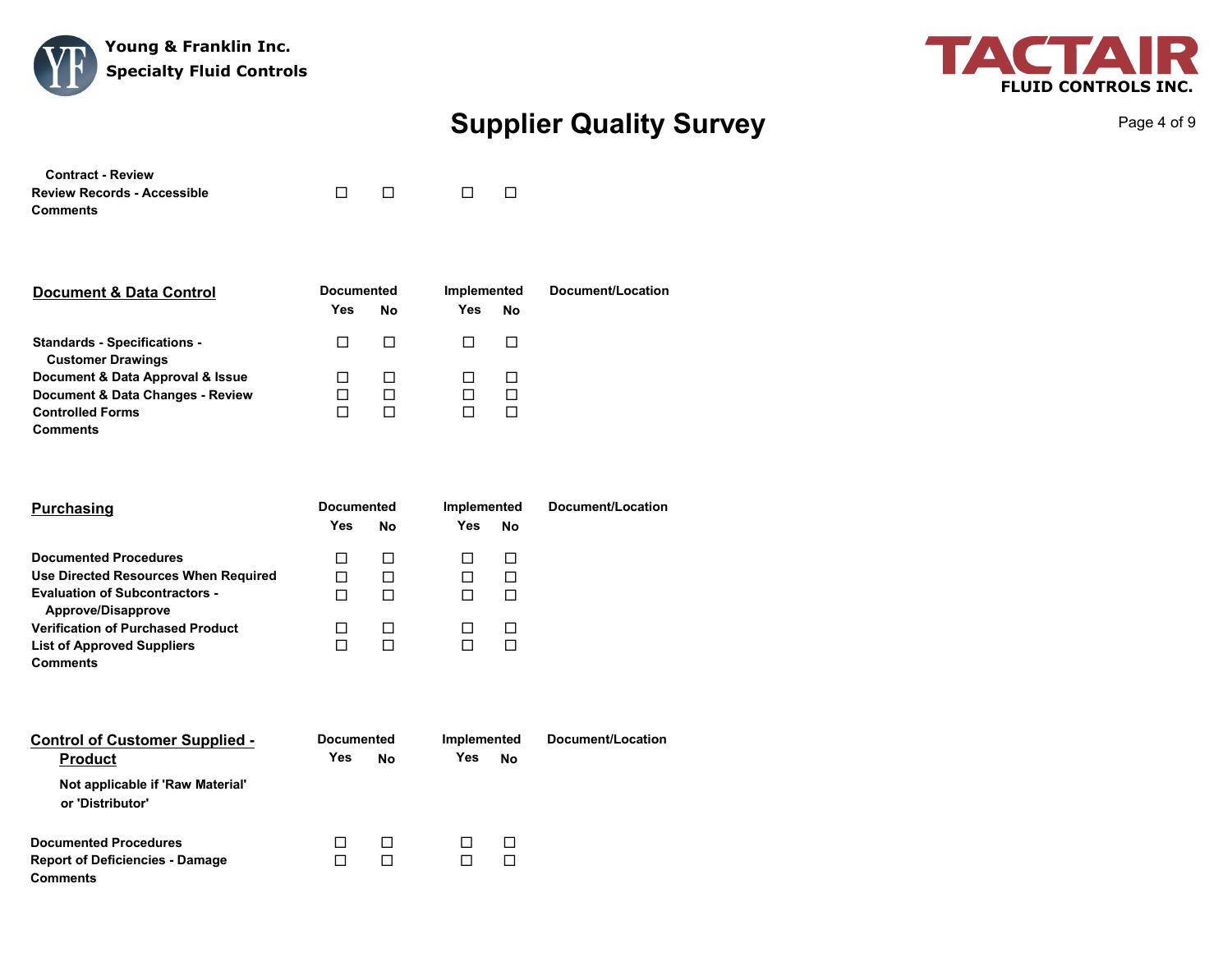



Page 4 of 9

| <b>Contract - Review</b>           |        |                                   |                          |
|------------------------------------|--------|-----------------------------------|--------------------------|
| <b>Review Records - Accessible</b> | $\Box$ | and a structure of the structure. | $\overline{\phantom{a}}$ |
| Comments                           |        |                                   |                          |

| <b>Document &amp; Data Control</b>                              | <b>Documented</b> |              | Implemented |    | Document/Location |
|-----------------------------------------------------------------|-------------------|--------------|-------------|----|-------------------|
|                                                                 | Yes               | No           | Yes         | No |                   |
| <b>Standards - Specifications -</b><br><b>Customer Drawings</b> |                   | $\mathsf{L}$ |             |    |                   |
| Document & Data Approval & Issue                                |                   | П            |             |    |                   |
| Document & Data Changes - Review                                |                   | П            |             |    |                   |
| <b>Controlled Forms</b>                                         |                   | П            |             |    |                   |
| <b>Comments</b>                                                 |                   |              |             |    |                   |

| <b>Purchasing</b>                                           | <b>Documented</b> |    | Implemented |    | Document/Location |
|-------------------------------------------------------------|-------------------|----|-------------|----|-------------------|
|                                                             | Yes               | No | Yes         | No |                   |
| <b>Documented Procedures</b>                                |                   | П  |             |    |                   |
| Use Directed Resources When Required                        |                   | П  |             |    |                   |
| <b>Evaluation of Subcontractors -</b><br>Approve/Disapprove |                   | П  |             |    |                   |
| <b>Verification of Purchased Product</b>                    |                   | П  |             |    |                   |
| <b>List of Approved Suppliers</b>                           |                   |    |             |    |                   |
| <b>Comments</b>                                             |                   |    |             |    |                   |

| <b>Control of Customer Supplied -</b><br><b>Product</b>                                   | <b>Documented</b><br>No<br>Yes |        | Implemented<br>Yes | No      | Document/Location |
|-------------------------------------------------------------------------------------------|--------------------------------|--------|--------------------|---------|-------------------|
| Not applicable if 'Raw Material'<br>or 'Distributor'                                      |                                |        |                    |         |                   |
| <b>Documented Procedures</b><br><b>Report of Deficiencies - Damage</b><br><b>Comments</b> |                                | п<br>П |                    | $\perp$ |                   |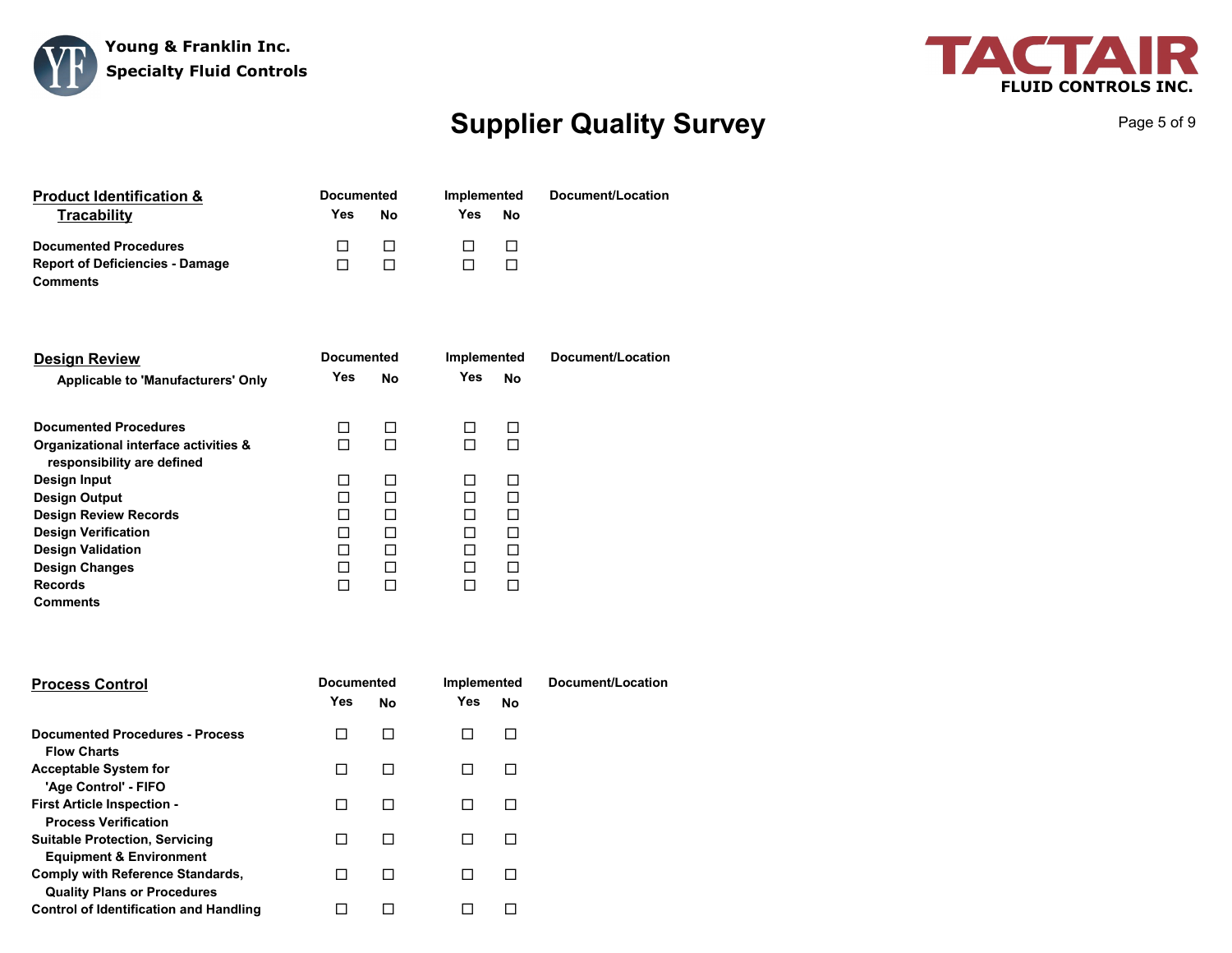



Page 5 of 9

| <b>Product Identification &amp;</b>    | <b>Documented</b> |              | Implemented |    | Document/Location |  |
|----------------------------------------|-------------------|--------------|-------------|----|-------------------|--|
| <b>Tracability</b>                     | Yes               | No           | Yes         | No |                   |  |
| <b>Documented Procedures</b>           |                   | $\mathbf{1}$ |             |    |                   |  |
| <b>Report of Deficiencies - Damage</b> |                   |              |             |    |                   |  |
| Comments                               |                   |              |             |    |                   |  |

| <b>Design Review</b>                                                |     | <b>Documented</b> |            | Implemented | Document/Location |
|---------------------------------------------------------------------|-----|-------------------|------------|-------------|-------------------|
| <b>Applicable to 'Manufacturers' Only</b>                           | Yes | No                | <b>Yes</b> | No          |                   |
| <b>Documented Procedures</b>                                        |     | П                 | П          | П           |                   |
| Organizational interface activities &<br>responsibility are defined |     | П                 | П          | П           |                   |
| Design Input                                                        | П   | П                 | П          | П           |                   |
| <b>Design Output</b>                                                |     | П                 | П          | П           |                   |
| <b>Design Review Records</b>                                        |     | П                 | П          | П           |                   |
| <b>Design Verification</b>                                          |     | П                 |            | П           |                   |
| <b>Design Validation</b>                                            |     | П                 | П          | П           |                   |
| <b>Design Changes</b>                                               | П   | П                 | П          | П           |                   |
| <b>Records</b>                                                      |     | П                 |            | П           |                   |
| <b>Comments</b>                                                     |     |                   |            |             |                   |

| <b>Process Control</b>                                                      | <b>Documented</b><br><b>Yes</b> | No | Implemented<br>Yes<br>No | Document/Location |
|-----------------------------------------------------------------------------|---------------------------------|----|--------------------------|-------------------|
| Documented Procedures - Process<br><b>Flow Charts</b>                       |                                 | П  | $\mathsf{L}$             |                   |
| <b>Acceptable System for</b><br>'Age Control' - FIFO                        |                                 | П  |                          |                   |
| <b>First Article Inspection -</b><br><b>Process Verification</b>            |                                 | П  |                          |                   |
| <b>Suitable Protection, Servicing</b><br><b>Equipment &amp; Environment</b> |                                 | П  | $\mathsf{L}$             |                   |
| Comply with Reference Standards,<br><b>Quality Plans or Procedures</b>      |                                 | п  |                          |                   |
| <b>Control of Identification and Handling</b>                               |                                 |    |                          |                   |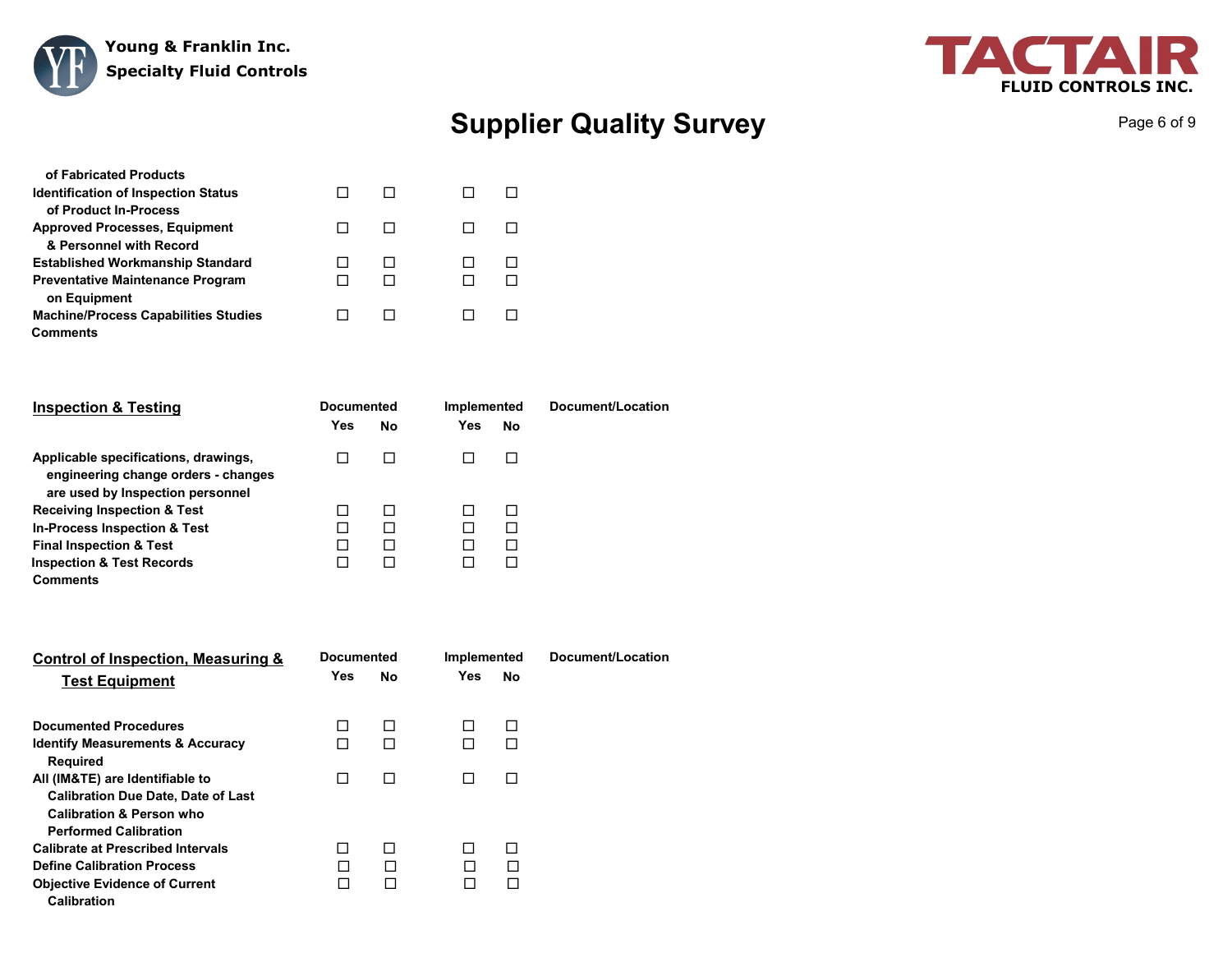



Page 6 of 9

| of Fabricated Products                      |  |  |  |
|---------------------------------------------|--|--|--|
| <b>Identification of Inspection Status</b>  |  |  |  |
| of Product In-Process                       |  |  |  |
| <b>Approved Processes, Equipment</b>        |  |  |  |
| & Personnel with Record                     |  |  |  |
| <b>Established Workmanship Standard</b>     |  |  |  |
| <b>Preventative Maintenance Program</b>     |  |  |  |
| on Equipment                                |  |  |  |
| <b>Machine/Process Capabilities Studies</b> |  |  |  |
| Comments                                    |  |  |  |

| <b>Inspection &amp; Testing</b>                                                                                 | <b>Documented</b> |    | Implemented |              | Document/Location |
|-----------------------------------------------------------------------------------------------------------------|-------------------|----|-------------|--------------|-------------------|
|                                                                                                                 | Yes               | No | Yes         | No           |                   |
| Applicable specifications, drawings,<br>engineering change orders - changes<br>are used by Inspection personnel |                   |    |             |              |                   |
| <b>Receiving Inspection &amp; Test</b>                                                                          |                   | П  |             | $\mathbf{I}$ |                   |
| <b>In-Process Inspection &amp; Test</b>                                                                         |                   | П  |             |              |                   |
| <b>Final Inspection &amp; Test</b>                                                                              |                   | П  |             |              |                   |
| <b>Inspection &amp; Test Records</b>                                                                            |                   | ΙI |             |              |                   |
| <b>Comments</b>                                                                                                 |                   |    |             |              |                   |

| Control of Inspection, Measuring &          | <b>Documented</b> |    | Implemented |           | Document/Location |
|---------------------------------------------|-------------------|----|-------------|-----------|-------------------|
| <b>Test Equipment</b>                       | Yes               | No | Yes         | <b>No</b> |                   |
| <b>Documented Procedures</b>                | П                 | П  |             | П         |                   |
| <b>Identify Measurements &amp; Accuracy</b> | П                 | П  | П           | П         |                   |
| <b>Required</b>                             |                   |    |             |           |                   |
| All (IM&TE) are Identifiable to             | П                 | П  |             | П         |                   |
| <b>Calibration Due Date, Date of Last</b>   |                   |    |             |           |                   |
| <b>Calibration &amp; Person who</b>         |                   |    |             |           |                   |
| <b>Performed Calibration</b>                |                   |    |             |           |                   |
| <b>Calibrate at Prescribed Intervals</b>    |                   | П  |             | П         |                   |
| <b>Define Calibration Process</b>           |                   | П  |             | П         |                   |
| <b>Objective Evidence of Current</b>        |                   | П  |             | П         |                   |
| <b>Calibration</b>                          |                   |    |             |           |                   |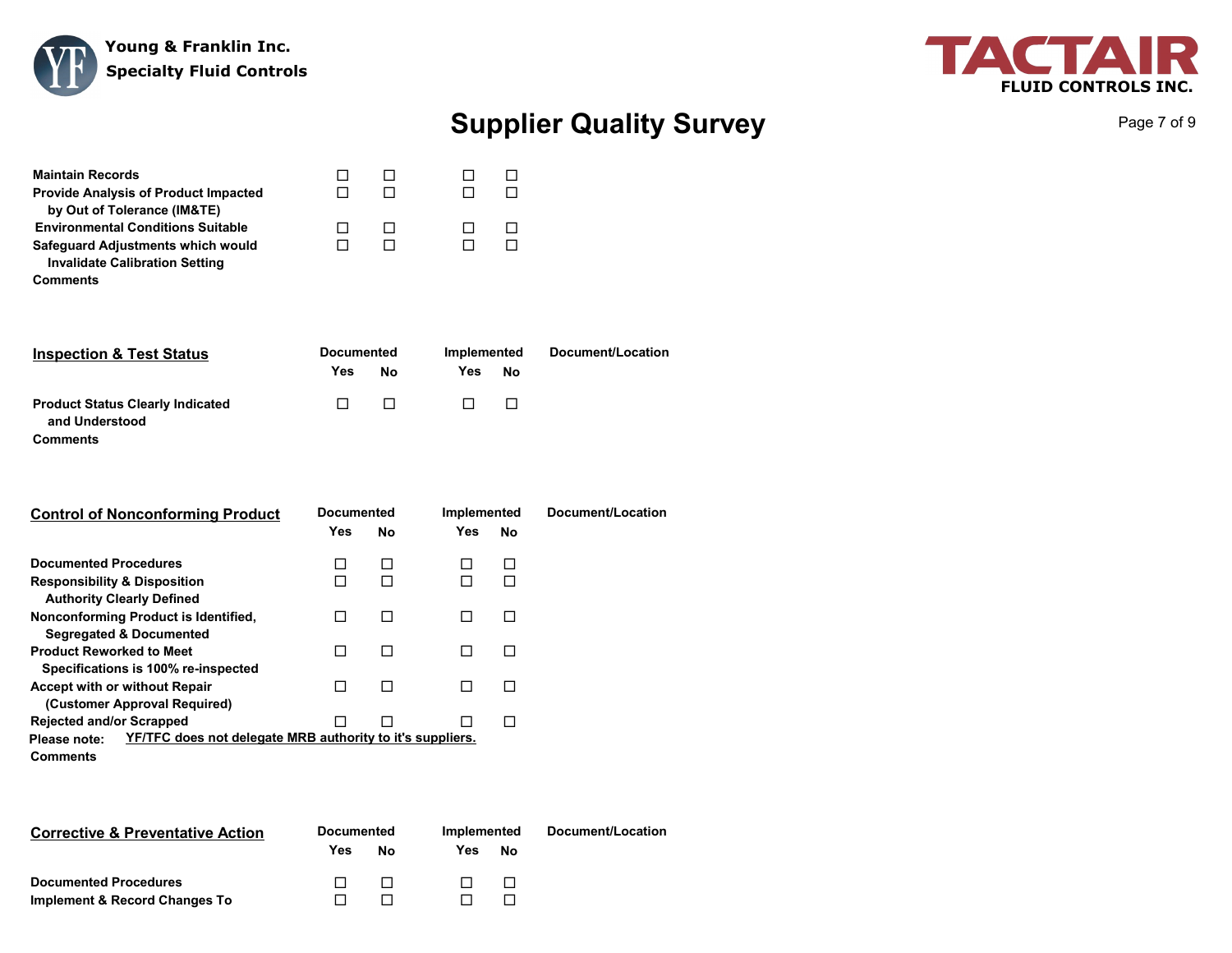



Page 7 of 9

| <b>Maintain Records</b>                                                    |  |  |
|----------------------------------------------------------------------------|--|--|
| <b>Provide Analysis of Product Impacted</b><br>by Out of Tolerance (IM&TE) |  |  |
| <b>Environmental Conditions Suitable</b>                                   |  |  |
| Safeguard Adjustments which would<br><b>Invalidate Calibration Setting</b> |  |  |
| <b>Comments</b>                                                            |  |  |

| <b>Inspection &amp; Test Status</b>                                   | <b>Documented</b> |        | Implemented |        | Document/Location |
|-----------------------------------------------------------------------|-------------------|--------|-------------|--------|-------------------|
|                                                                       | Yes               | Nο     | Yes         | No     |                   |
| <b>Product Status Clearly Indicated</b><br>and Understood<br>Comments | $\Box$            | $\Box$ | $\Box$      | $\Box$ |                   |

| <b>Control of Nonconforming Product</b>                                   | <b>Documented</b><br>Yes | No | Implemented<br>Yes. | No | Document/Location |
|---------------------------------------------------------------------------|--------------------------|----|---------------------|----|-------------------|
| <b>Documented Procedures</b>                                              |                          | П  |                     |    |                   |
| <b>Responsibility &amp; Disposition</b>                                   |                          |    |                     |    |                   |
| <b>Authority Clearly Defined</b>                                          |                          |    |                     |    |                   |
| Nonconforming Product is Identified,                                      |                          |    |                     |    |                   |
| <b>Segregated &amp; Documented</b>                                        |                          |    |                     |    |                   |
| <b>Product Reworked to Meet</b>                                           |                          | П  |                     |    |                   |
| Specifications is 100% re-inspected                                       |                          |    |                     |    |                   |
| <b>Accept with or without Repair</b>                                      |                          | П  |                     |    |                   |
| (Customer Approval Required)                                              |                          |    |                     |    |                   |
| <b>Rejected and/or Scrapped</b>                                           |                          |    |                     |    |                   |
| YF/TFC does not delegate MRB authority to it's suppliers.<br>Please note: |                          |    |                     |    |                   |
| Comments                                                                  |                          |    |                     |    |                   |

| <b>Corrective &amp; Preventative Action</b> | <b>Documented</b> |              | Implemented |    | Document/Location |
|---------------------------------------------|-------------------|--------------|-------------|----|-------------------|
|                                             | Yes               | No           | Yes         | No |                   |
| <b>Documented Procedures</b>                |                   | $\mathbf{1}$ |             |    |                   |
| Implement & Record Changes To               |                   |              |             |    |                   |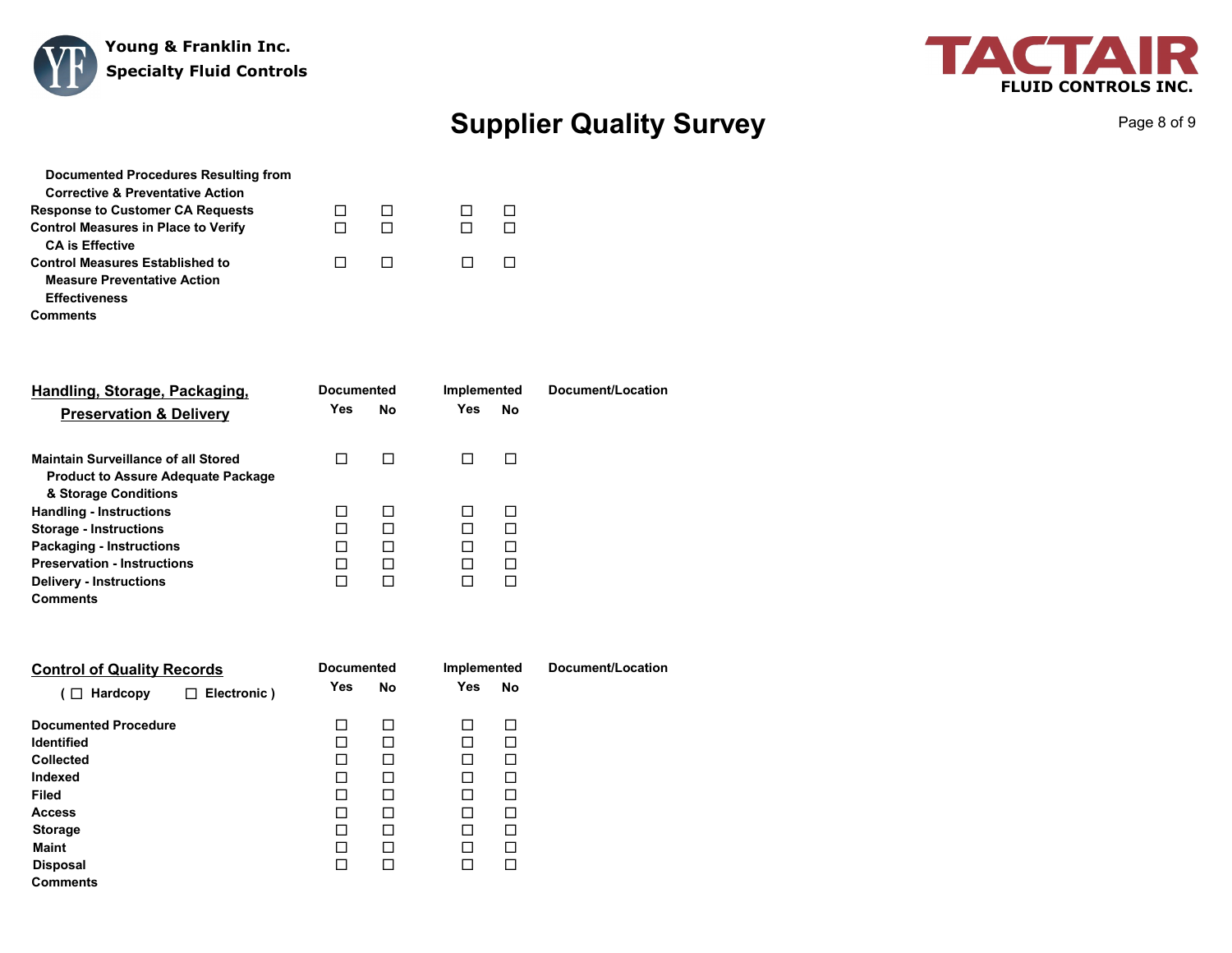



Page 8 of 9

| Documented Procedures Resulting from        |  |  |
|---------------------------------------------|--|--|
| <b>Corrective &amp; Preventative Action</b> |  |  |
| <b>Response to Customer CA Requests</b>     |  |  |
| <b>Control Measures in Place to Verify</b>  |  |  |
| <b>CA is Effective</b>                      |  |  |
| <b>Control Measures Established to</b>      |  |  |
| <b>Measure Preventative Action</b>          |  |  |
| <b>Effectiveness</b>                        |  |  |
| Comments                                    |  |  |

| Handling, Storage, Packaging,             |            | <b>Documented</b> |     | Implemented | Document/Location |
|-------------------------------------------|------------|-------------------|-----|-------------|-------------------|
| <b>Preservation &amp; Delivery</b>        | <b>Yes</b> | No                | Yes | No          |                   |
| Maintain Surveillance of all Stored       |            | П                 |     |             |                   |
| <b>Product to Assure Adequate Package</b> |            |                   |     |             |                   |
| & Storage Conditions                      |            |                   |     |             |                   |
| <b>Handling - Instructions</b>            |            | П                 |     | $\Box$      |                   |
| <b>Storage - Instructions</b>             |            |                   |     |             |                   |
| <b>Packaging - Instructions</b>           |            | П                 |     | П           |                   |
| <b>Preservation - Instructions</b>        |            | П                 |     | П           |                   |
| <b>Delivery - Instructions</b>            |            | П                 |     |             |                   |
| <b>Comments</b>                           |            |                   |     |             |                   |

| <b>Control of Quality Records</b>   | <b>Documented</b> | Implemented             | Document/Location |
|-------------------------------------|-------------------|-------------------------|-------------------|
| Electronic)<br>$\Box$ Hardcopy<br>□ | Yes<br>No         | <b>Yes</b><br><b>No</b> |                   |
| <b>Documented Procedure</b>         | П<br>П            | П<br>П                  |                   |
| <b>Identified</b>                   | П<br>П            | П<br>П                  |                   |
| <b>Collected</b>                    | П<br>П            | П<br>П                  |                   |
| Indexed                             | П<br>П            | П<br>П                  |                   |
| <b>Filed</b>                        | П<br>П            | П<br>П                  |                   |
| <b>Access</b>                       | П                 | П<br>П                  |                   |
| <b>Storage</b>                      | П<br>П            | П<br>П                  |                   |
| <b>Maint</b>                        | П<br>П            | П<br>П                  |                   |
| <b>Disposal</b>                     | П                 | П<br>П                  |                   |
| Comments                            |                   |                         |                   |